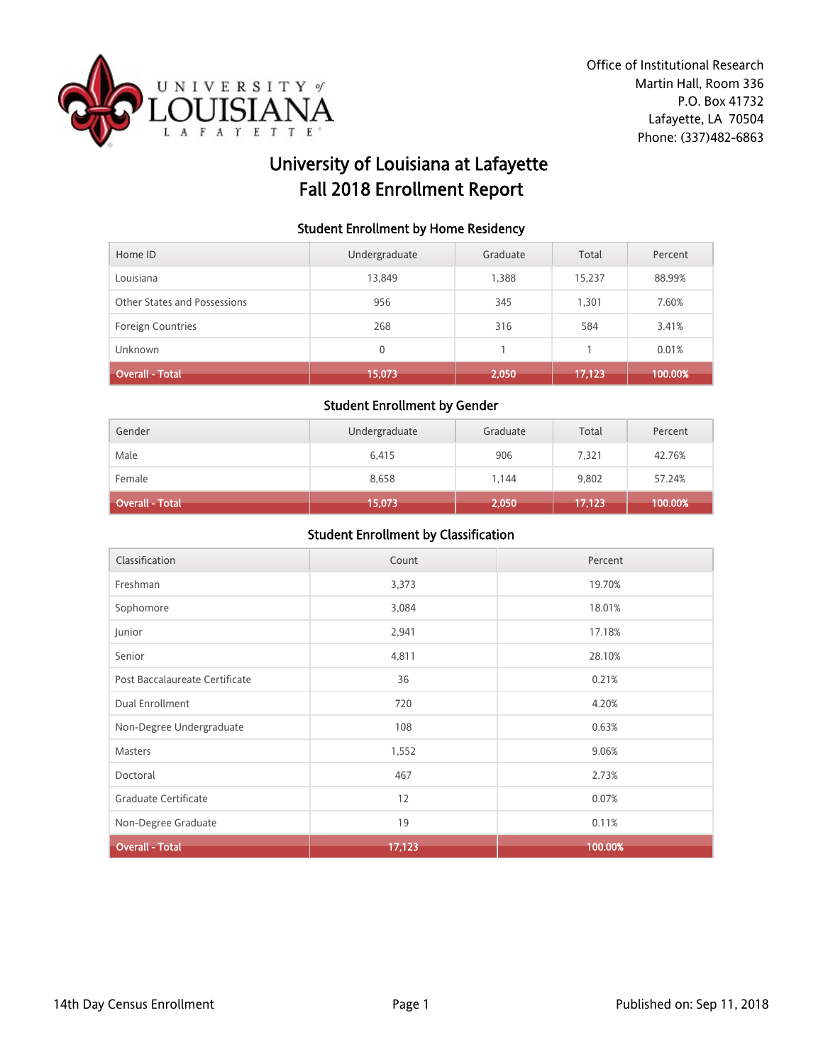

# University of Louisiana at Lafayette Fall 2018 Enrollment Report

#### Student Enrollment by Home Residency

| Home ID                      | Undergraduate | Graduate | Total  | Percent |
|------------------------------|---------------|----------|--------|---------|
| Louisiana                    | 13,849        | 1,388    | 15,237 | 88.99%  |
| Other States and Possessions | 956           | 345      | 1.301  | 7.60%   |
| <b>Foreign Countries</b>     | 268           | 316      | 584    | 3.41%   |
| Unknown                      | $\Omega$      |          |        | 0.01%   |
| <b>Overall - Total</b>       | 15,073        | 2,050    | 17,123 | 100.00% |

#### Student Enrollment by Gender

| Gender          | Undergraduate | Graduate | Total  | Percent |
|-----------------|---------------|----------|--------|---------|
| Male            | 6,415         | 906      | 7,321  | 42.76%  |
| Female          | 8,658         | 1,144    | 9,802  | 57.24%  |
| Overall - Total | 15,073        | 2,050    | 17,123 | 100.00% |

| Classification                 | Count  | Percent |
|--------------------------------|--------|---------|
| Freshman                       | 3,373  | 19.70%  |
| Sophomore                      | 3,084  | 18.01%  |
| Junior                         | 2,941  | 17.18%  |
| Senior                         | 4,811  | 28.10%  |
| Post Baccalaureate Certificate | 36     | 0.21%   |
| Dual Enrollment                | 720    | 4.20%   |
| Non-Degree Undergraduate       | 108    | 0.63%   |
| Masters                        | 1,552  | 9.06%   |
| Doctoral                       | 467    | 2.73%   |
| Graduate Certificate           | 12     | 0.07%   |
| Non-Degree Graduate            | 19     | 0.11%   |
| <b>Overall - Total</b>         | 17,123 | 100.00% |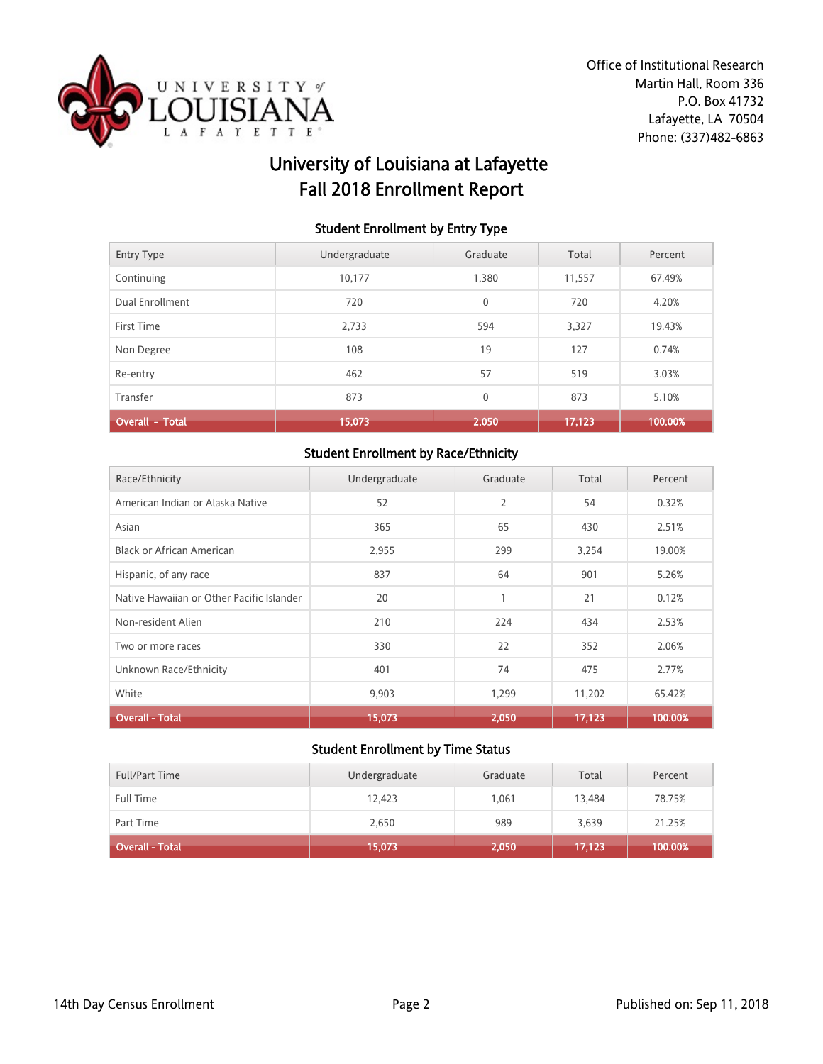

# University of Louisiana at Lafayette Fall 2018 Enrollment Report

### Student Enrollment by Entry Type

| <b>Entry Type</b>      | Undergraduate | Graduate     | Total  | Percent |
|------------------------|---------------|--------------|--------|---------|
| Continuing             | 10.177        | 1.380        | 11,557 | 67.49%  |
| Dual Enrollment        | 720           | 0            | 720    | 4.20%   |
| First Time             | 2,733         | 594          | 3,327  | 19.43%  |
| Non Degree             | 108           | 19           | 127    | 0.74%   |
| Re-entry               | 462           | 57           | 519    | 3.03%   |
| Transfer               | 873           | $\mathbf{0}$ | 873    | 5.10%   |
| <b>Overall - Total</b> | 15,073        | 2,050        | 17.123 | 100.00% |

## Student Enrollment by Race/Ethnicity

| Race/Ethnicity                            | Undergraduate | Graduate       | Total  | Percent |
|-------------------------------------------|---------------|----------------|--------|---------|
| American Indian or Alaska Native          | 52            | $\overline{2}$ | 54     | 0.32%   |
| Asian                                     | 365           | 65             | 430    | 2.51%   |
| <b>Black or African American</b>          | 2,955         | 299            | 3,254  | 19.00%  |
| Hispanic, of any race                     | 837           | 64             | 901    | 5.26%   |
| Native Hawaiian or Other Pacific Islander | 20            | $\mathbf{1}$   | 21     | 0.12%   |
| Non-resident Alien                        | 210           | 224            | 434    | 2.53%   |
| Two or more races                         | 330           | 22             | 352    | 2.06%   |
| Unknown Race/Ethnicity                    | 401           | 74             | 475    | 2.77%   |
| White                                     | 9,903         | 1,299          | 11,202 | 65.42%  |
| <b>Overall - Total</b>                    | 15,073        | 2,050          | 17,123 | 100.00% |

| <b>Full/Part Time</b>        | Undergraduate | Graduate | Total  | Percent |
|------------------------------|---------------|----------|--------|---------|
| <b>Full Time</b>             | 12,423        | 1.061    | 13,484 | 78.75%  |
| Part Time                    | 2,650         | 989      | 3,639  | 21.25%  |
| Overall - Total <sup>1</sup> | 15,073        | 2,050    | 17,123 | 100.00% |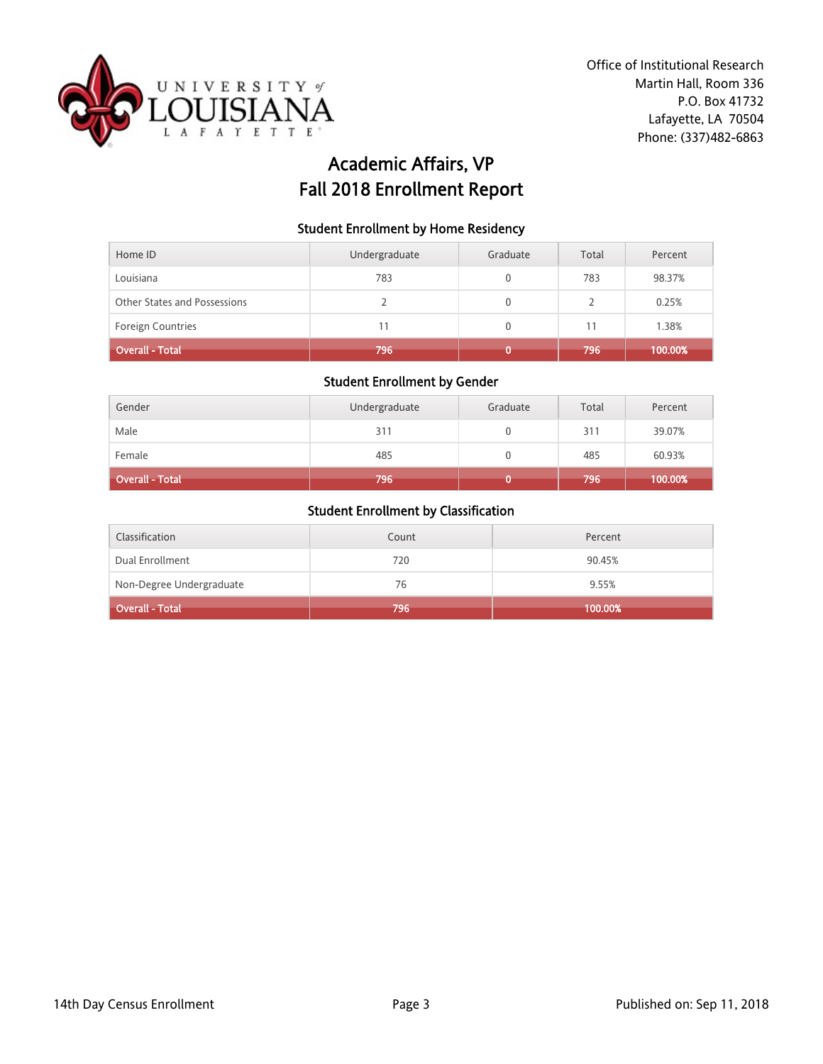

# Academic Affairs, VP Fall 2018 Enrollment Report

### Student Enrollment by Home Residency

| Home ID                      | Undergraduate | Graduate | Total | Percent |
|------------------------------|---------------|----------|-------|---------|
| Louisiana                    | 783           |          | 783   | 98.37%  |
| Other States and Possessions |               | 0        |       | 0.25%   |
| <b>Foreign Countries</b>     | 11            | U        | 11    | 1.38%   |
| <b>Overall - Total</b>       | 796           |          | 796   | 100.00% |

#### Student Enrollment by Gender

| Gender                 | Undergraduate | Graduate | Total | Percent |
|------------------------|---------------|----------|-------|---------|
| Male                   | 311           |          | 311   | 39.07%  |
| Female                 | 485           |          | 485   | 60.93%  |
| <b>Overall - Total</b> | 796           |          | 796   | 100.00% |

| Classification           | Count | Percent |
|--------------------------|-------|---------|
| Dual Enrollment          | 720   | 90.45%  |
| Non-Degree Undergraduate | 76    | 9.55%   |
| Overall - Total          | 796   | 100.00% |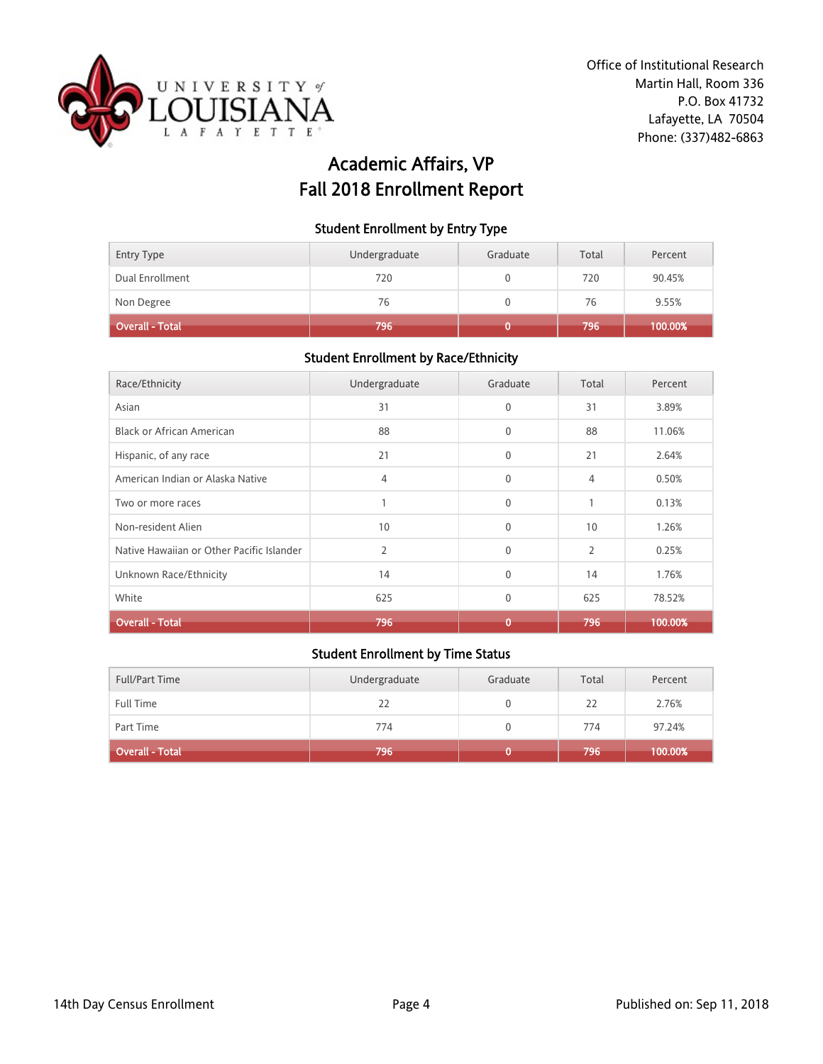

# Academic Affairs, VP Fall 2018 Enrollment Report

#### Student Enrollment by Entry Type

| Entry Type             | Undergraduate | Graduate | Total | Percent |
|------------------------|---------------|----------|-------|---------|
| Dual Enrollment        | 720           |          | 720   | 90.45%  |
| Non Degree             | 76            |          | 76    | 9.55%   |
| <b>Overall - Total</b> | 796           |          | 796   | 100.00% |

## Student Enrollment by Race/Ethnicity

| Race/Ethnicity                            | Undergraduate  | Graduate     | Total          | Percent |
|-------------------------------------------|----------------|--------------|----------------|---------|
| Asian                                     | 31             | $\mathbf{0}$ | 31             | 3.89%   |
| Black or African American                 | 88             | $\mathbf 0$  | 88             | 11.06%  |
| Hispanic, of any race                     | 21             | $\mathbf{0}$ | 21             | 2.64%   |
| American Indian or Alaska Native          | 4              | $\mathbf{0}$ | 4              | 0.50%   |
| Two or more races                         |                | $\mathbf{0}$ | $\mathbf{1}$   | 0.13%   |
| Non-resident Alien                        | 10             | $\mathbf{0}$ | 10             | 1.26%   |
| Native Hawaiian or Other Pacific Islander | $\overline{2}$ | $\mathbf{0}$ | $\overline{2}$ | 0.25%   |
| Unknown Race/Ethnicity                    | 14             | $\mathbf{0}$ | 14             | 1.76%   |
| White                                     | 625            | $\mathbf 0$  | 625            | 78.52%  |
| <b>Overall - Total</b>                    | 796            | $\bf{0}$     | 796            | 100.00% |

| <b>Full/Part Time</b>        | Undergraduate | Graduate | Total | Percent |
|------------------------------|---------------|----------|-------|---------|
| <b>Full Time</b>             | 22            |          | 22    | 2.76%   |
| Part Time                    | 774           |          | 774   | 97.24%  |
| Overall - Total <sup> </sup> | 796           |          | 796   | 100.00% |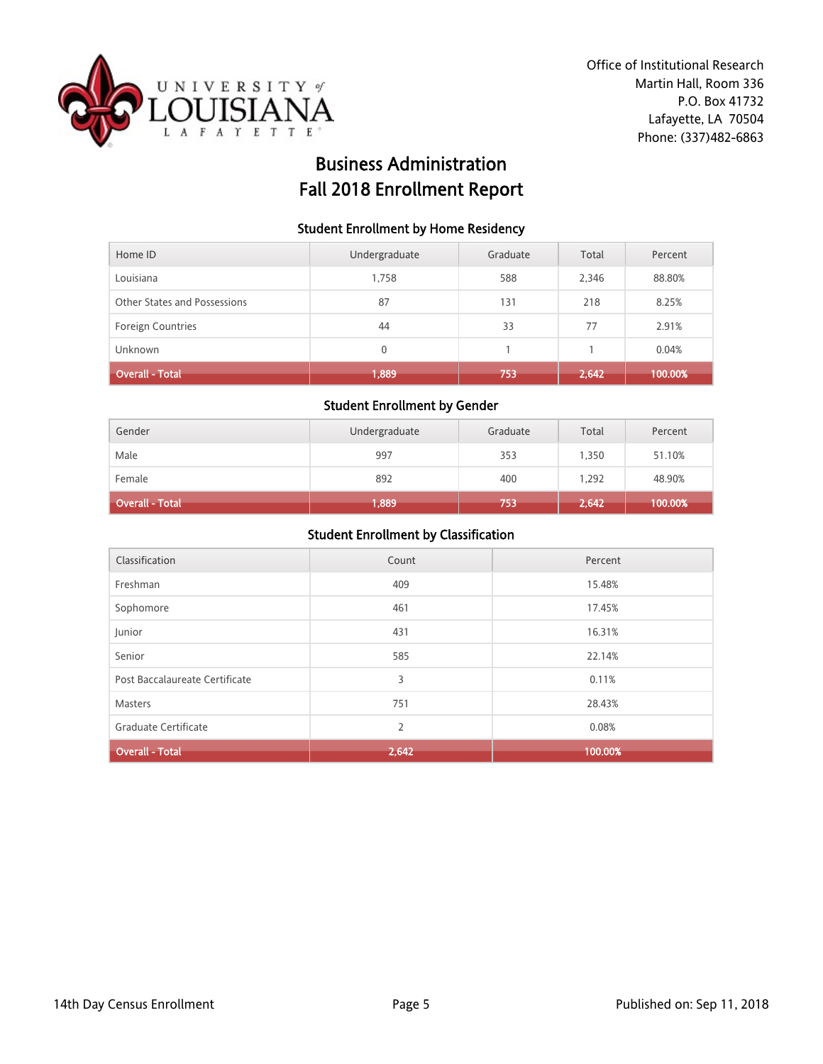

# Business Administration Fall 2018 Enrollment Report

#### Student Enrollment by Home Residency

| Home ID                      | Undergraduate | Graduate | Total | Percent |
|------------------------------|---------------|----------|-------|---------|
| Louisiana                    | 1,758         | 588      | 2,346 | 88.80%  |
| Other States and Possessions | 87            | 131      | 218   | 8.25%   |
| Foreign Countries            | 44            | 33       | 77    | 2.91%   |
| <b>Unknown</b>               | 0             |          |       | 0.04%   |
| <b>Overall - Total</b>       | 1,889         | 753      | 2,642 | 100.00% |

#### Student Enrollment by Gender

| Gender          | Undergraduate | Graduate | Total | Percent |
|-----------------|---------------|----------|-------|---------|
| Male            | 997           | 353      | 1.350 | 51.10%  |
| Female          | 892           | 400      | 1,292 | 48.90%  |
| Overall - Total | 1,889         | 753      | 2,642 | 100.00% |

| Classification                 | Count          | Percent |
|--------------------------------|----------------|---------|
| Freshman                       | 409            | 15.48%  |
| Sophomore                      | 461            | 17.45%  |
| Junior                         | 431            | 16.31%  |
| Senior                         | 585            | 22.14%  |
| Post Baccalaureate Certificate | 3              | 0.11%   |
| Masters                        | 751            | 28.43%  |
| Graduate Certificate           | $\overline{2}$ | 0.08%   |
| <b>Overall - Total</b>         | 2,642          | 100.00% |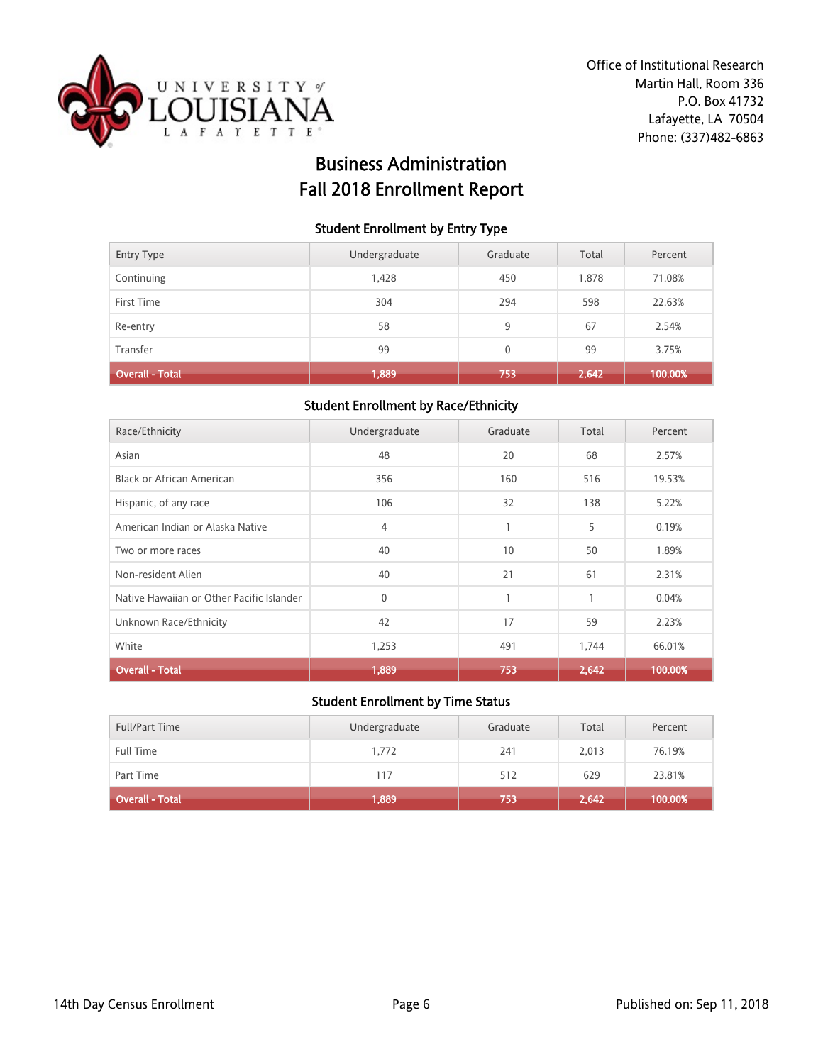

# Business Administration Fall 2018 Enrollment Report

#### Student Enrollment by Entry Type

| Entry Type      | Undergraduate | Graduate     | Total | Percent |
|-----------------|---------------|--------------|-------|---------|
| Continuing      | 1,428         | 450          | 1,878 | 71.08%  |
| First Time      | 304           | 294          | 598   | 22.63%  |
| Re-entry        | 58            | 9            | 67    | 2.54%   |
| Transfer        | 99            | $\mathbf{0}$ | 99    | 3.75%   |
| Overall - Total | 1,889         | 753          | 2,642 | 100.00% |

### Student Enrollment by Race/Ethnicity

| Race/Ethnicity                            | Undergraduate | Graduate | Total | Percent |
|-------------------------------------------|---------------|----------|-------|---------|
| Asian                                     | 48            | 20       | 68    | 2.57%   |
| <b>Black or African American</b>          | 356           | 160      | 516   | 19.53%  |
| Hispanic, of any race                     | 106           | 32       | 138   | 5.22%   |
| American Indian or Alaska Native          | 4             | 1        | 5     | 0.19%   |
| Two or more races                         | 40            | 10       | 50    | 1.89%   |
| Non-resident Alien                        | 40            | 21       | 61    | 2.31%   |
| Native Hawaiian or Other Pacific Islander | $\mathbf{0}$  | 1        | 1     | 0.04%   |
| Unknown Race/Ethnicity                    | 42            | 17       | 59    | 2.23%   |
| White                                     | 1,253         | 491      | 1,744 | 66.01%  |
| <b>Overall - Total</b>                    | 1,889         | 753      | 2,642 | 100.00% |

| <b>Full/Part Time</b>  | Undergraduate | Graduate | Total | Percent |
|------------------------|---------------|----------|-------|---------|
| Full Time              | 1,772         | 241      | 2,013 | 76.19%  |
| Part Time              | 117           | 512      | 629   | 23.81%  |
| <b>Overall - Total</b> | 1,889         | 753.     | 2,642 | 100.00% |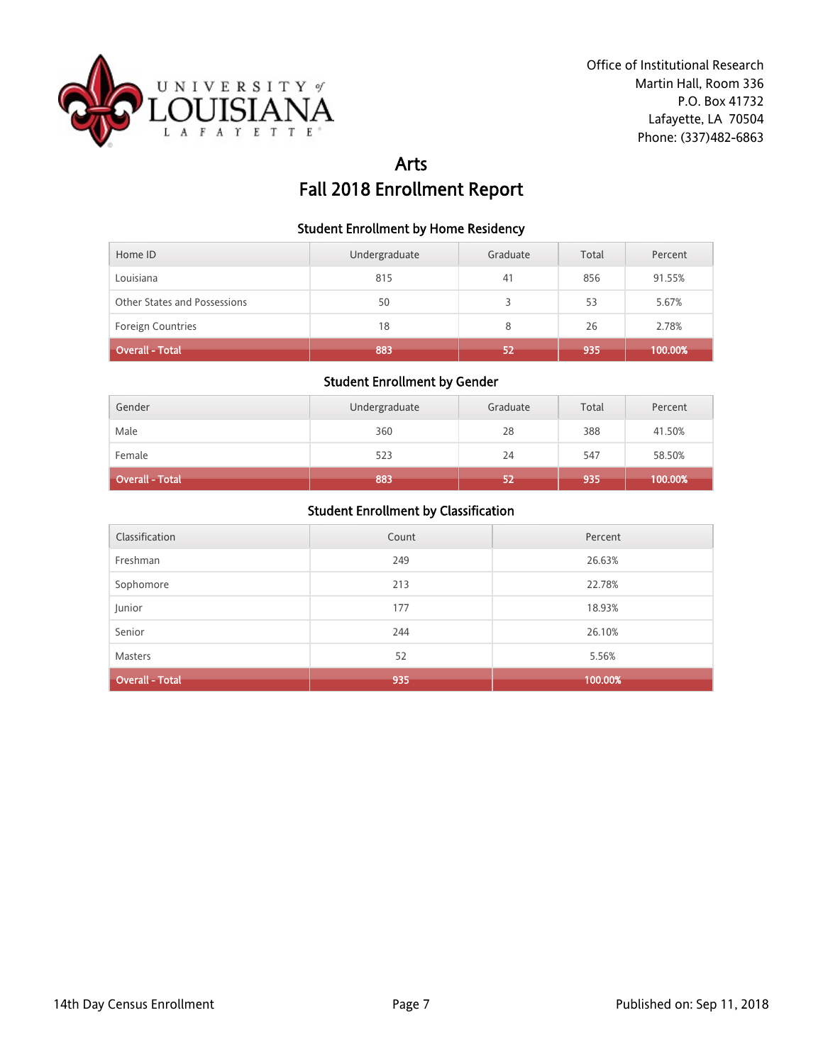

# Arts Fall 2018 Enrollment Report

#### Student Enrollment by Home Residency

| Home ID                      | Undergraduate | Graduate | Total | Percent |
|------------------------------|---------------|----------|-------|---------|
| Louisiana                    | 815           | 41       | 856   | 91.55%  |
| Other States and Possessions | 50            |          | 53    | 5.67%   |
| <b>Foreign Countries</b>     | 18            | 8        | 26    | 2.78%   |
| <b>Overall - Total</b>       | 883           | 52       | 935   | 100.00% |

## Student Enrollment by Gender

| Gender          | Undergraduate | Graduate | Total | Percent |
|-----------------|---------------|----------|-------|---------|
| Male            | 360           | 28       | 388   | 41.50%  |
| Female          | 523           | 24       | 547   | 58.50%  |
| Overall - Total | 883           | 52       | 935   | 100.00% |

| Classification         | Count | Percent |
|------------------------|-------|---------|
| Freshman               | 249   | 26.63%  |
| Sophomore              | 213   | 22.78%  |
| Junior                 | 177   | 18.93%  |
| Senior                 | 244   | 26.10%  |
| Masters                | 52    | 5.56%   |
| <b>Overall - Total</b> | 935   | 100.00% |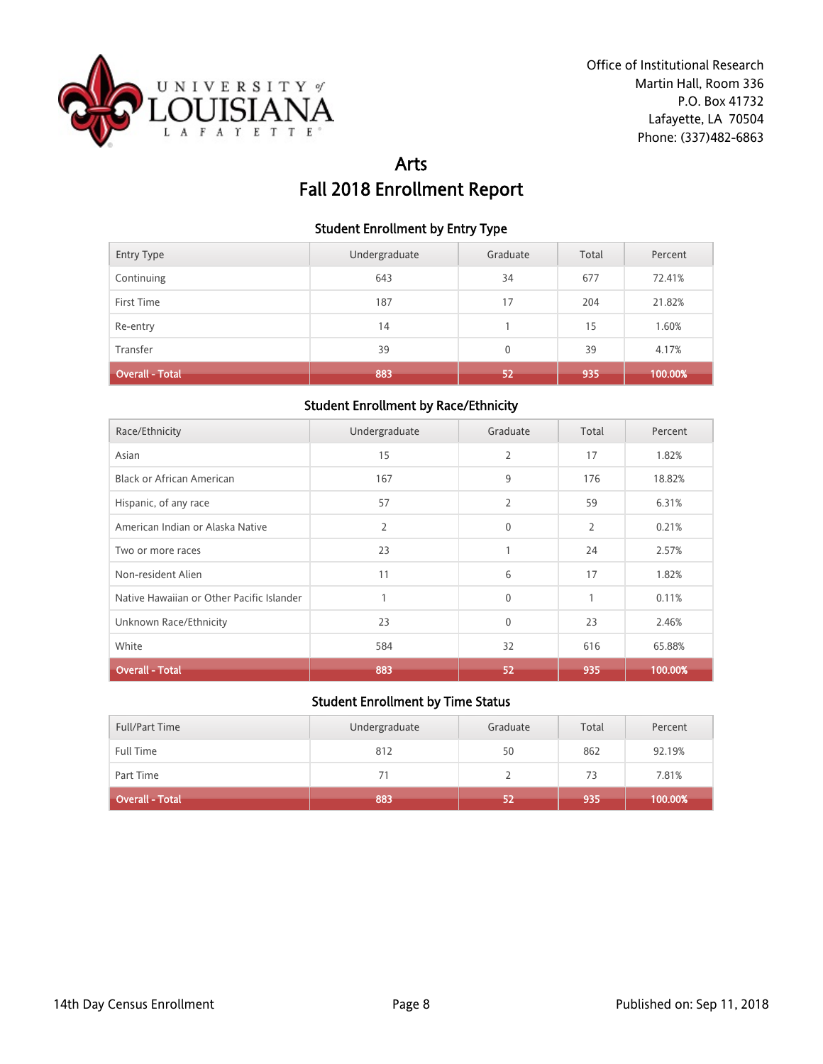

# Arts Fall 2018 Enrollment Report

#### Student Enrollment by Entry Type

| <b>Entry Type</b>      | Undergraduate | Graduate     | Total | Percent |
|------------------------|---------------|--------------|-------|---------|
| Continuing             | 643           | 34           | 677   | 72.41%  |
| First Time             | 187           | 17           | 204   | 21.82%  |
| Re-entry               | 14            |              | 15    | 1.60%   |
| Transfer               | 39            | $\mathbf{0}$ | 39    | 4.17%   |
| <b>Overall - Total</b> | 883           | 52           | 935   | 100.00% |

### Student Enrollment by Race/Ethnicity

| Race/Ethnicity                            | Undergraduate | Graduate       | Total          | Percent |
|-------------------------------------------|---------------|----------------|----------------|---------|
| Asian                                     | 15            | $\overline{2}$ | 17             | 1.82%   |
| <b>Black or African American</b>          | 167           | 9              | 176            | 18.82%  |
| Hispanic, of any race                     | 57            | $\overline{2}$ | 59             | 6.31%   |
| American Indian or Alaska Native          | 2             | $\mathbf{0}$   | $\overline{2}$ | 0.21%   |
| Two or more races                         | 23            | 1              | 24             | 2.57%   |
| Non-resident Alien                        | 11            | 6              | 17             | 1.82%   |
| Native Hawaiian or Other Pacific Islander |               | $\mathbf{0}$   | 1              | 0.11%   |
| Unknown Race/Ethnicity                    | 23            | $\mathbf{0}$   | 23             | 2.46%   |
| White                                     | 584           | 32             | 616            | 65.88%  |
| <b>Overall - Total</b>                    | 883           | 52             | 935            | 100.00% |

| <b>Full/Part Time</b> | Undergraduate | Graduate | Total | Percent |
|-----------------------|---------------|----------|-------|---------|
| <b>Full Time</b>      | 812           | 50       | 862   | 92.19%  |
| Part Time             | 71            |          | 73    | 7.81%   |
| Overall - Total       | 883           | 52       | 935   | 100.00% |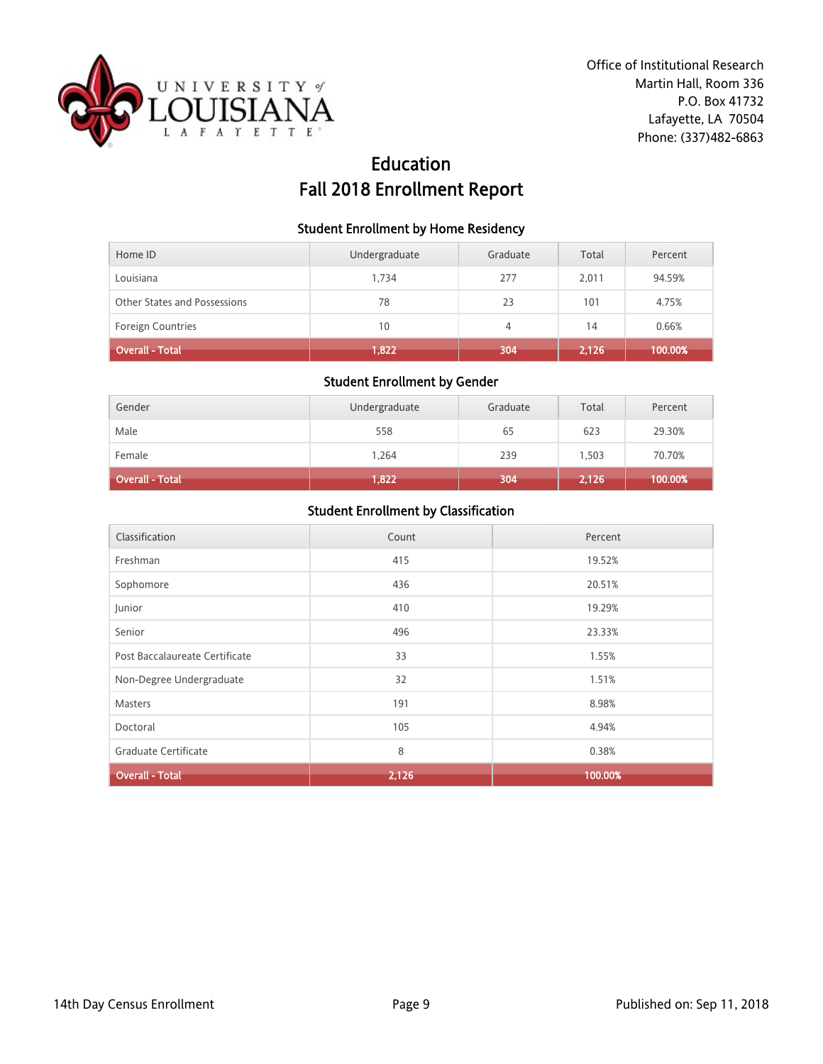

# Education Fall 2018 Enrollment Report

#### Student Enrollment by Home Residency

| Home ID                      | Undergraduate | Graduate | Total | Percent |
|------------------------------|---------------|----------|-------|---------|
| Louisiana                    | 1.734         | 277      | 2.011 | 94.59%  |
| Other States and Possessions | 78            | 23       | 101   | 4.75%   |
| <b>Foreign Countries</b>     | 10            | 4        | 14    | 0.66%   |
| <b>Overall - Total</b>       | 1,822         | 304      | 2,126 | 100.00% |

## Student Enrollment by Gender

| Gender                 | Undergraduate | Graduate | Total | Percent |
|------------------------|---------------|----------|-------|---------|
| Male                   | 558           | 65       | 623   | 29.30%  |
| Female                 | 1,264         | 239      | 1,503 | 70.70%  |
| <b>Overall - Total</b> | 1,822         | 304      | 2,126 | 100.00% |

| Classification                 | Count | Percent |
|--------------------------------|-------|---------|
| Freshman                       | 415   | 19.52%  |
| Sophomore                      | 436   | 20.51%  |
| Junior                         | 410   | 19.29%  |
| Senior                         | 496   | 23.33%  |
| Post Baccalaureate Certificate | 33    | 1.55%   |
| Non-Degree Undergraduate       | 32    | 1.51%   |
| Masters                        | 191   | 8.98%   |
| Doctoral                       | 105   | 4.94%   |
| Graduate Certificate           | 8     | 0.38%   |
| <b>Overall - Total</b>         | 2,126 | 100.00% |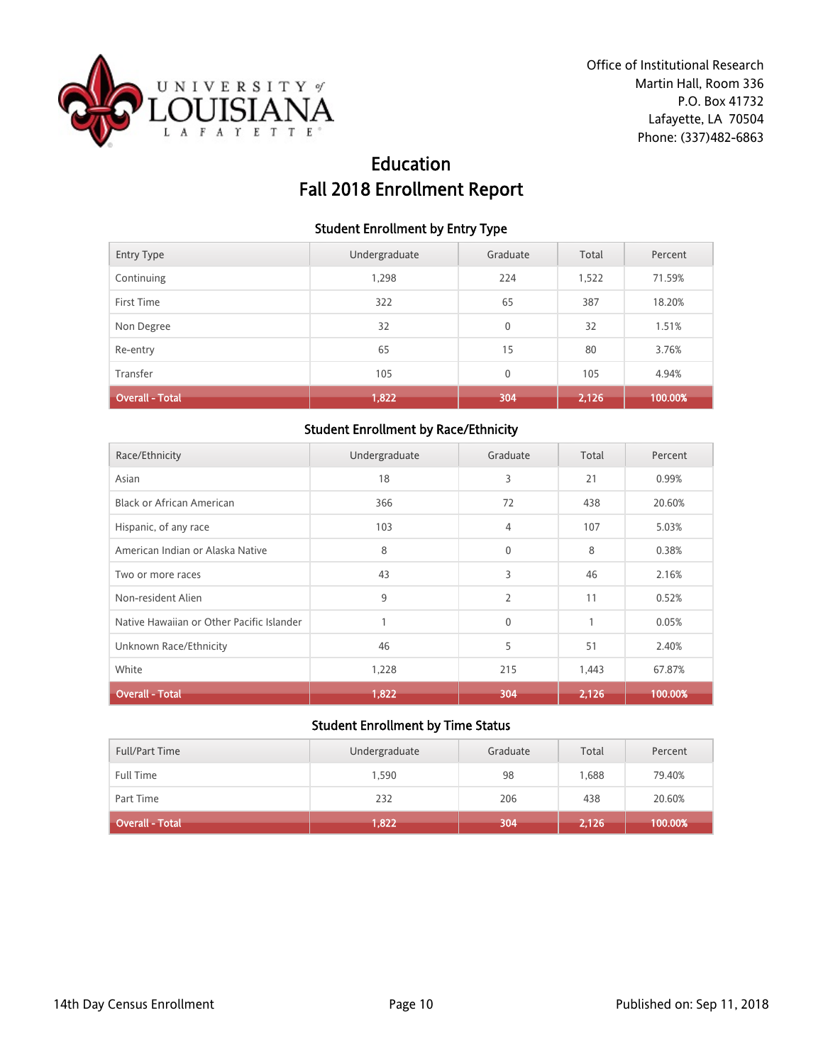

# Education Fall 2018 Enrollment Report

#### Student Enrollment by Entry Type

| Entry Type             | Undergraduate | Graduate | Total | Percent |
|------------------------|---------------|----------|-------|---------|
| Continuing             | 1,298         | 224      | 1,522 | 71.59%  |
| First Time             | 322           | 65       | 387   | 18.20%  |
| Non Degree             | 32            | 0        | 32    | 1.51%   |
| Re-entry               | 65            | 15       | 80    | 3.76%   |
| Transfer               | 105           | 0        | 105   | 4.94%   |
| <b>Overall - Total</b> | 1,822         | 304      | 2,126 | 100.00% |

### Student Enrollment by Race/Ethnicity

| Race/Ethnicity                            | Undergraduate | Graduate       | Total        | Percent |
|-------------------------------------------|---------------|----------------|--------------|---------|
| Asian                                     | 18            | 3              | 21           | 0.99%   |
| <b>Black or African American</b>          | 366           | 72             | 438          | 20.60%  |
| Hispanic, of any race                     | 103           | 4              | 107          | 5.03%   |
| American Indian or Alaska Native          | 8             | $\mathbf{0}$   | 8            | 0.38%   |
| Two or more races                         | 43            | 3              | 46           | 2.16%   |
| Non-resident Alien                        | 9             | $\overline{2}$ | 11           | 0.52%   |
| Native Hawaiian or Other Pacific Islander |               | $\mathbf{0}$   | $\mathbf{1}$ | 0.05%   |
| Unknown Race/Ethnicity                    | 46            | 5              | 51           | 2.40%   |
| White                                     | 1,228         | 215            | 1,443        | 67.87%  |
| Overall - Total                           | 1,822         | 304            | 2,126        | 100.00% |

| <b>Full/Part Time</b> | Undergraduate | Graduate | Total | Percent |
|-----------------------|---------------|----------|-------|---------|
| <b>Full Time</b>      | 1,590         | 98       | 1.688 | 79.40%  |
| Part Time             | 232           | 206      | 438   | 20.60%  |
| Overall - Total       | 1,822         | 304      | 2,126 | 100.00% |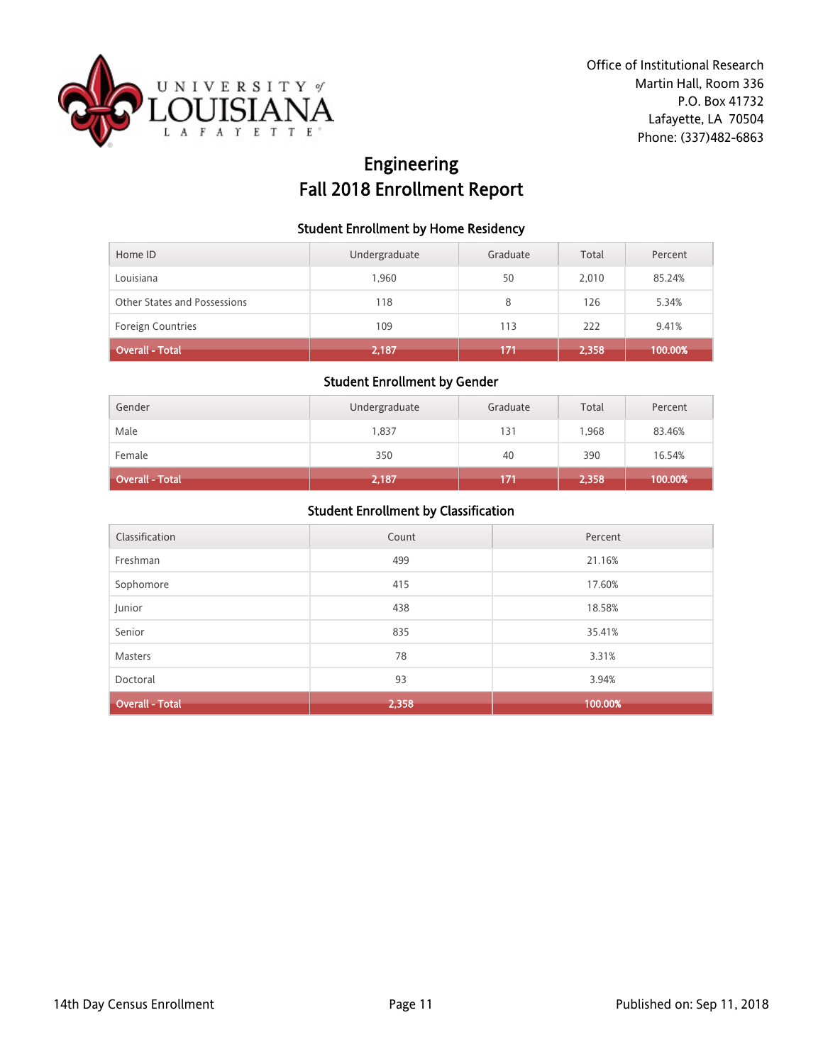

# Engineering Fall 2018 Enrollment Report

### Student Enrollment by Home Residency

| Home ID                      | Undergraduate | Graduate | Total | Percent |
|------------------------------|---------------|----------|-------|---------|
| Louisiana                    | 1.960         | 50       | 2.010 | 85.24%  |
| Other States and Possessions | 118           | 8        | 126   | 5.34%   |
| <b>Foreign Countries</b>     | 109           | 113      | 222   | 9.41%   |
| <b>Overall - Total</b>       | 2,187         | 171      | 2,358 | 100.00% |

## Student Enrollment by Gender

| Gender          | Undergraduate | Graduate | Total | Percent |
|-----------------|---------------|----------|-------|---------|
| Male            | 1,837         | 131      | 1.968 | 83.46%  |
| Female          | 350           | 40       | 390   | 16.54%  |
| Overall - Total | 2,187         | 171      | 2,358 | 100.00% |

| Classification         | Count | Percent |
|------------------------|-------|---------|
| Freshman               | 499   | 21.16%  |
| Sophomore              | 415   | 17.60%  |
| Junior                 | 438   | 18.58%  |
| Senior                 | 835   | 35.41%  |
| Masters                | 78    | 3.31%   |
| Doctoral               | 93    | 3.94%   |
| <b>Overall - Total</b> | 2,358 | 100.00% |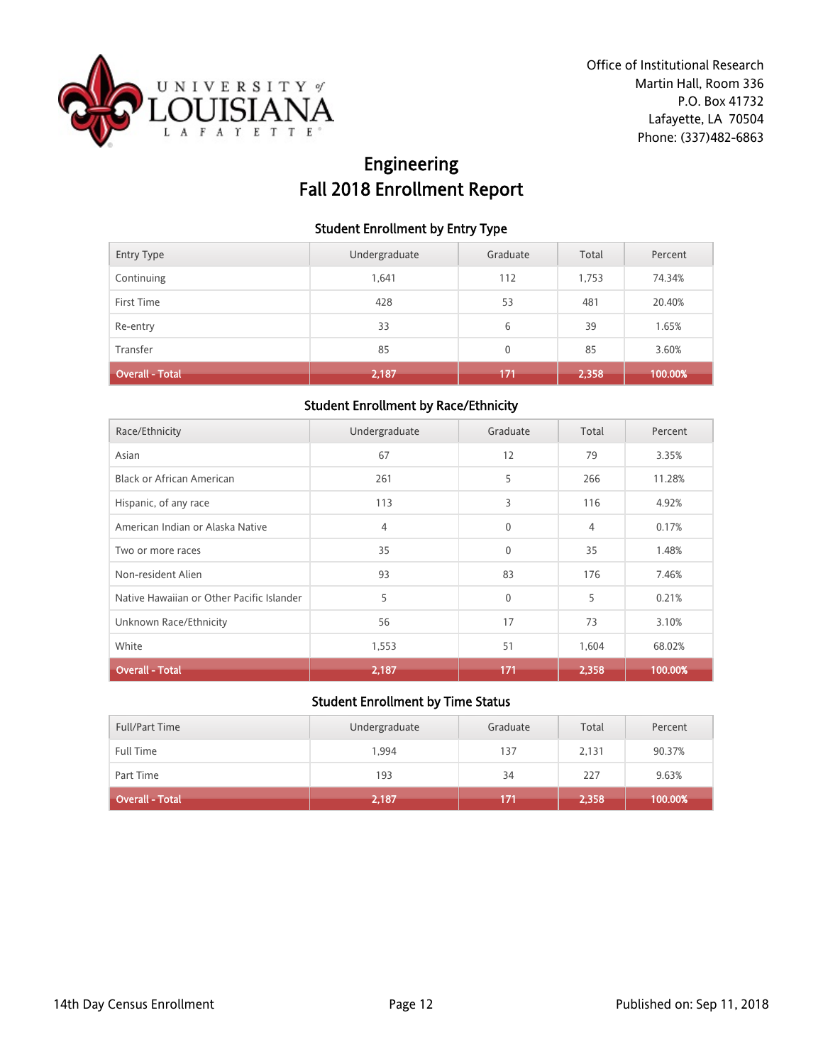

# Engineering Fall 2018 Enrollment Report

### Student Enrollment by Entry Type

| <b>Entry Type</b> | Undergraduate | Graduate     | Total | Percent |
|-------------------|---------------|--------------|-------|---------|
| Continuing        | 1.641         | 112          | 1,753 | 74.34%  |
| First Time        | 428           | 53           | 481   | 20.40%  |
| Re-entry          | 33            | 6            | 39    | 1.65%   |
| Transfer          | 85            | $\mathbf{0}$ | 85    | 3.60%   |
| Overall - Total   | 2,187         | 171          | 2,358 | 100.00% |

### Student Enrollment by Race/Ethnicity

| Race/Ethnicity                            | Undergraduate | Graduate     | Total          | Percent |
|-------------------------------------------|---------------|--------------|----------------|---------|
| Asian                                     | 67            | 12           | 79             | 3.35%   |
| Black or African American                 | 261           | 5            | 266            | 11.28%  |
| Hispanic, of any race                     | 113           | 3            | 116            | 4.92%   |
| American Indian or Alaska Native          | 4             | $\mathbf{0}$ | $\overline{4}$ | 0.17%   |
| Two or more races                         | 35            | $\mathbf{0}$ | 35             | 1.48%   |
| Non-resident Alien                        | 93            | 83           | 176            | 7.46%   |
| Native Hawaiian or Other Pacific Islander | 5             | $\mathbf{0}$ | 5              | 0.21%   |
| Unknown Race/Ethnicity                    | 56            | 17           | 73             | 3.10%   |
| White                                     | 1,553         | 51           | 1,604          | 68.02%  |
| <b>Overall - Total</b>                    | 2,187         | 171          | 2,358          | 100.00% |

| <b>Full/Part Time</b>  | Undergraduate | Graduate | Total | Percent |
|------------------------|---------------|----------|-------|---------|
| Full Time              | 1.994         | 137      | 2,131 | 90.37%  |
| Part Time              | 193           | 34       | 227   | 9.63%   |
| <b>Overall - Total</b> | 2,187         | 171      | 2,358 | 100.00% |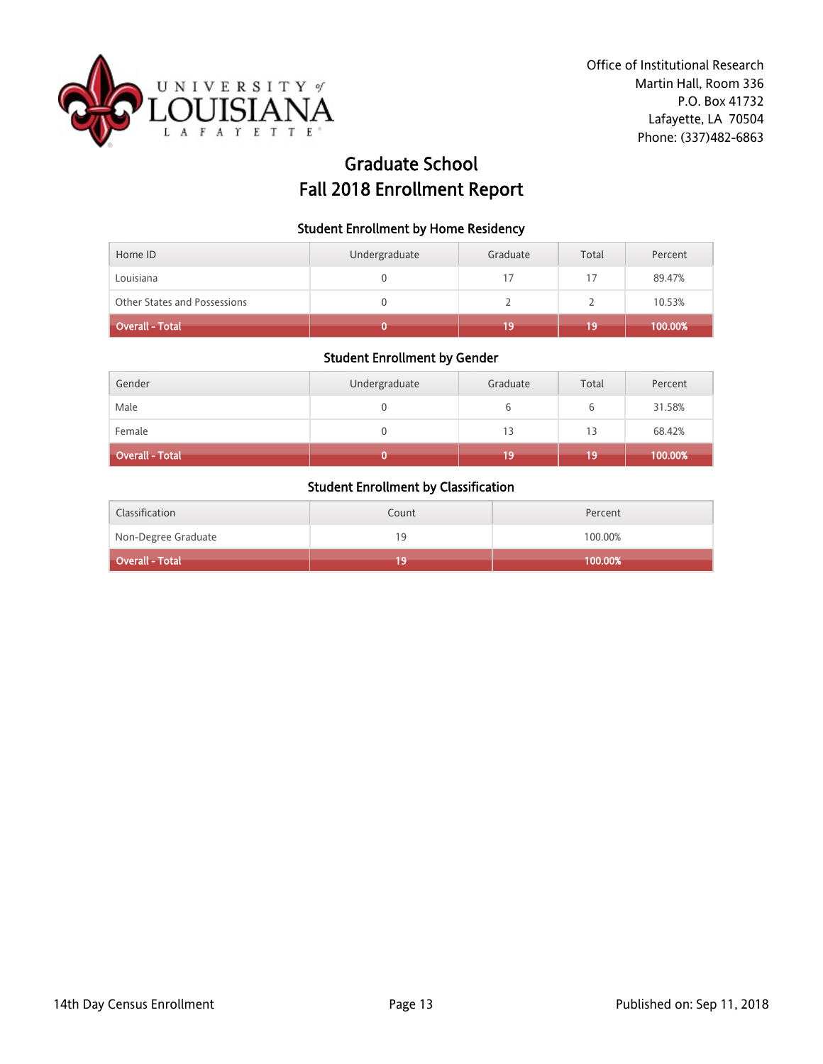

# Graduate School Fall 2018 Enrollment Report

#### Student Enrollment by Home Residency

| Home ID                             | Undergraduate | Graduate | Total | Percent |
|-------------------------------------|---------------|----------|-------|---------|
| Louisiana                           |               |          |       | 89.47%  |
| <b>Other States and Possessions</b> |               |          |       | 10.53%  |
| Overall - Total                     |               | 19       | 19    | 100.00% |

## Student Enrollment by Gender

| Gender                 | Undergraduate | Graduate | Total | Percent |
|------------------------|---------------|----------|-------|---------|
| Male                   |               |          |       | 31.58%  |
| Female                 |               | 13       | 13    | 68.42%  |
| <b>Overall - Total</b> |               | 19       | 19    | 100.00% |

| Classification      | Count | Percent |
|---------------------|-------|---------|
| Non-Degree Graduate | 19    | 100.00% |
| Overall - Total     | 19    | 100.00% |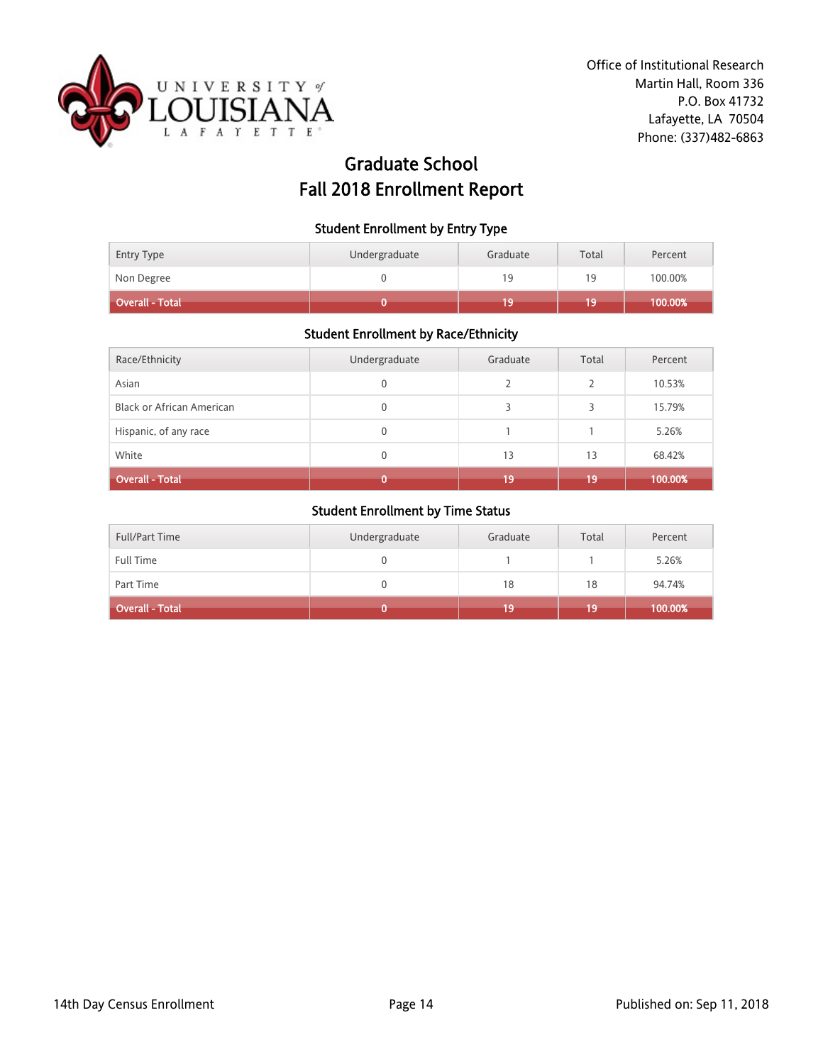

# Graduate School Fall 2018 Enrollment Report

#### Student Enrollment by Entry Type

| Non Degree      | 19 | 10 | 100.00% |
|-----------------|----|----|---------|
| Overall - Total |    | 19 | 100.00% |

### Student Enrollment by Race/Ethnicity

| Race/Ethnicity                   | Undergraduate | Graduate | Total | Percent |
|----------------------------------|---------------|----------|-------|---------|
| Asian                            | 0             |          | C.    | 10.53%  |
| <b>Black or African American</b> | 0             |          | 3     | 15.79%  |
| Hispanic, of any race            | 0             |          |       | 5.26%   |
| White                            | 0             | 13       | 13    | 68.42%  |
| <b>Overall - Total</b>           |               | 19       | 19    | 100.00% |

| <b>Full/Part Time</b>  | Undergraduate | Graduate | Total | Percent |
|------------------------|---------------|----------|-------|---------|
| Full Time              |               |          |       | 5.26%   |
| Part Time              |               | 18       | 18    | 94.74%  |
| <b>Overall - Total</b> |               | 19       | 19    | 100.00% |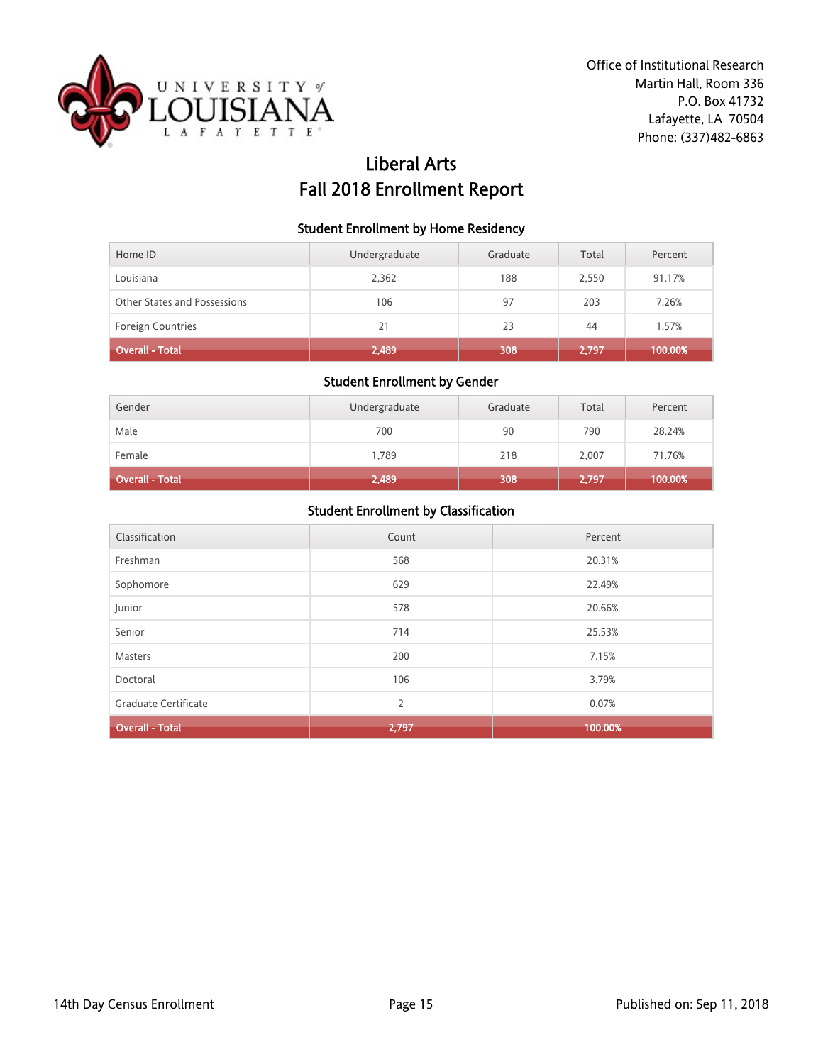

# Liberal Arts Fall 2018 Enrollment Report

### Student Enrollment by Home Residency

| Home ID                      | Undergraduate | Graduate | Total | Percent |
|------------------------------|---------------|----------|-------|---------|
| Louisiana                    | 2,362         | 188      | 2,550 | 91.17%  |
| Other States and Possessions | 106           | 97       | 203   | 7.26%   |
| Foreign Countries            | 21            | 23       | 44    | 1.57%   |
| Overall - Total              | 2,489         | 308      | 2.797 | 100.00% |

## Student Enrollment by Gender

| Gender                 | Undergraduate | Graduate | Total | Percent |
|------------------------|---------------|----------|-------|---------|
| Male                   | 700           | 90       | 790   | 28.24%  |
| Female                 | 1,789         | 218      | 2.007 | 71.76%  |
| <b>Overall - Total</b> | 2,489         | 308      | 2,797 | 100.00% |

| Classification         | Count | Percent |
|------------------------|-------|---------|
| Freshman               | 568   | 20.31%  |
| Sophomore              | 629   | 22.49%  |
| Junior                 | 578   | 20.66%  |
| Senior                 | 714   | 25.53%  |
| Masters                | 200   | 7.15%   |
| Doctoral               | 106   | 3.79%   |
| Graduate Certificate   | 2     | 0.07%   |
| <b>Overall - Total</b> | 2,797 | 100.00% |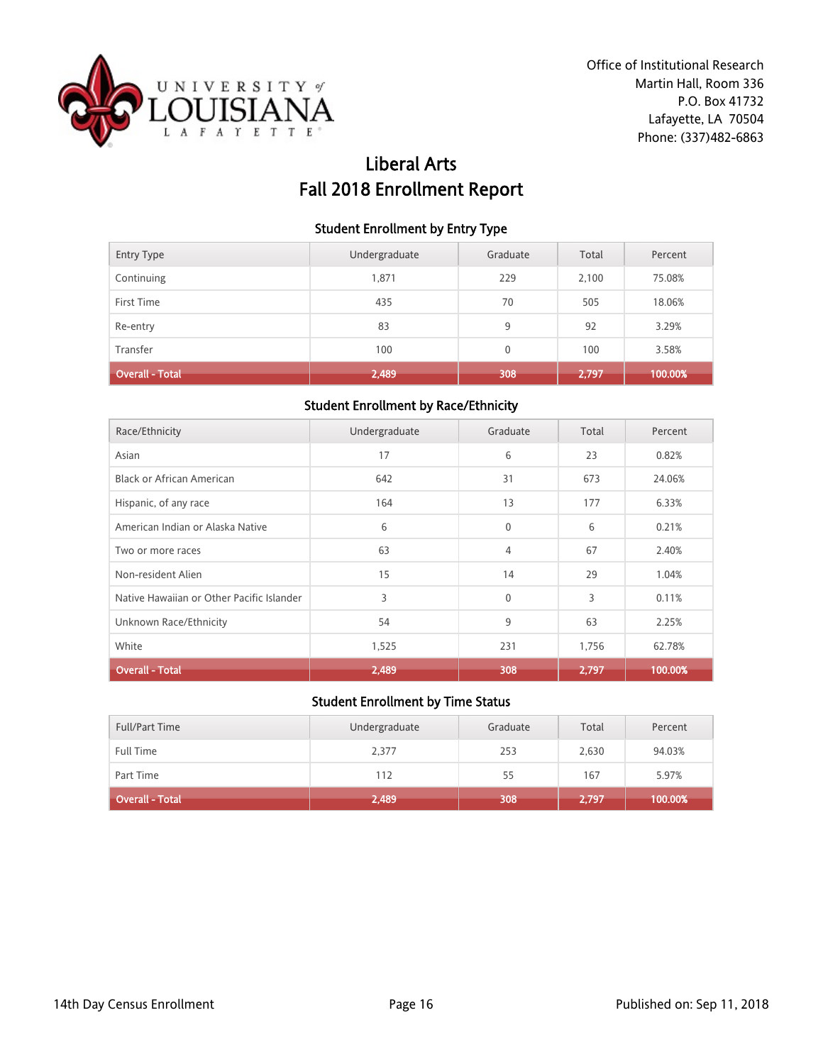

# Liberal Arts Fall 2018 Enrollment Report

#### Student Enrollment by Entry Type

| <b>Entry Type</b> | Undergraduate | Graduate     | Total | Percent |
|-------------------|---------------|--------------|-------|---------|
| Continuing        | 1,871         | 229          | 2,100 | 75.08%  |
| First Time        | 435           | 70           | 505   | 18.06%  |
| Re-entry          | 83            | 9            | 92    | 3.29%   |
| Transfer          | 100           | $\mathbf{0}$ | 100   | 3.58%   |
| Overall - Total   | 2,489         | 308          | 2,797 | 100.00% |

### Student Enrollment by Race/Ethnicity

| Race/Ethnicity                            | Undergraduate | Graduate       | Total | Percent |
|-------------------------------------------|---------------|----------------|-------|---------|
| Asian                                     | 17            | 6              | 23    | 0.82%   |
| Black or African American                 | 642           | 31             | 673   | 24.06%  |
| Hispanic, of any race                     | 164           | 13             | 177   | 6.33%   |
| American Indian or Alaska Native          | 6             | $\mathbf{0}$   | 6     | 0.21%   |
| Two or more races                         | 63            | $\overline{4}$ | 67    | 2.40%   |
| Non-resident Alien                        | 15            | 14             | 29    | 1.04%   |
| Native Hawaiian or Other Pacific Islander | 3             | $\mathbf{0}$   | 3     | 0.11%   |
| Unknown Race/Ethnicity                    | 54            | 9              | 63    | 2.25%   |
| White                                     | 1,525         | 231            | 1,756 | 62.78%  |
| <b>Overall - Total</b>                    | 2,489         | 308            | 2.797 | 100.00% |

| <b>Full/Part Time</b> | Undergraduate | Graduate | Total | Percent |
|-----------------------|---------------|----------|-------|---------|
| <b>Full Time</b>      | 2,377         | 253      | 2,630 | 94.03%  |
| Part Time             | 112           | 55       | 167   | 5.97%   |
| Overall - Total       | 2,489         | 308      | 2,797 | 100.00% |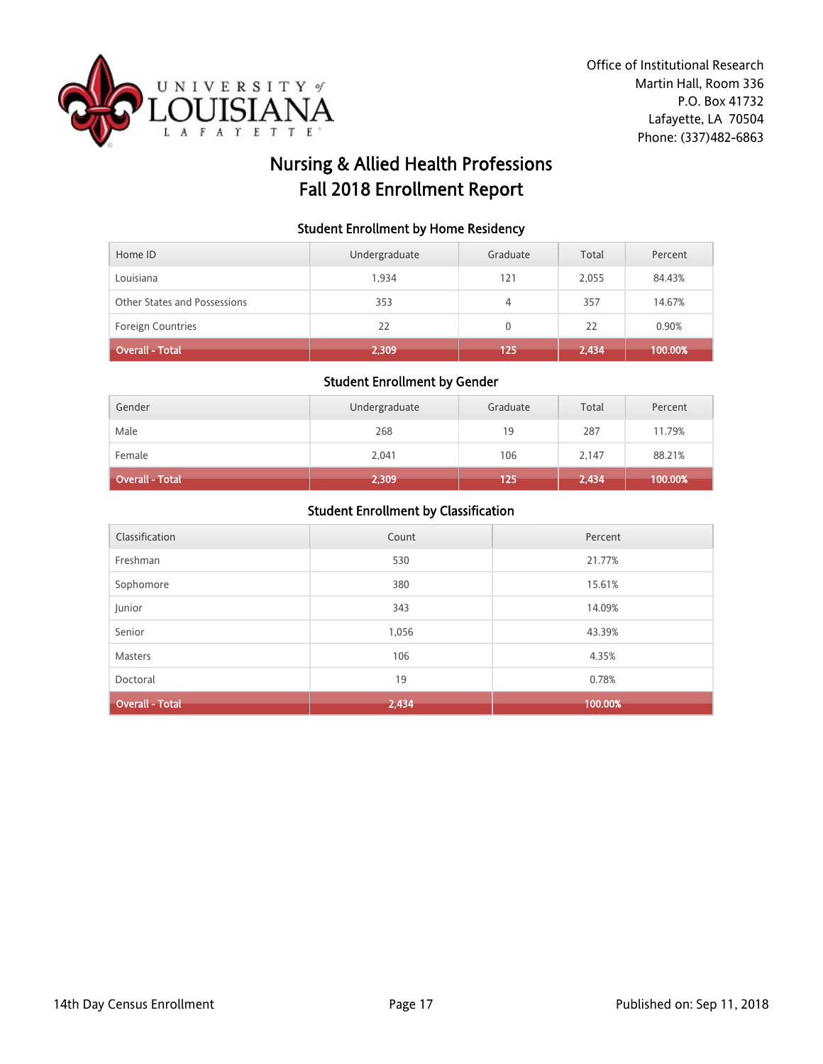

# Nursing & Allied Health Professions Fall 2018 Enrollment Report

#### Student Enrollment by Home Residency

| Home ID                      | Undergraduate | Graduate | Total | Percent |
|------------------------------|---------------|----------|-------|---------|
| Louisiana                    | 1.934         | 121      | 2,055 | 84.43%  |
| Other States and Possessions | 353           | 4        | 357   | 14.67%  |
| <b>Foreign Countries</b>     | 22            | 0        | 22    | 0.90%   |
| <b>Overall - Total</b>       | 2,309         | 125      | 2,434 | 100.00% |

### Student Enrollment by Gender

| Gender                 | Undergraduate | Graduate | Total | Percent |
|------------------------|---------------|----------|-------|---------|
| Male                   | 268           | 19       | 287   | 11.79%  |
| Female                 | 2,041         | 106      | 2.147 | 88.21%  |
| <b>Overall - Total</b> | 2,309         | 125      | 2,434 | 100.00% |

| Classification         | Count | Percent |
|------------------------|-------|---------|
| Freshman               | 530   | 21.77%  |
| Sophomore              | 380   | 15.61%  |
| Junior                 | 343   | 14.09%  |
| Senior                 | 1,056 | 43.39%  |
| Masters                | 106   | 4.35%   |
| Doctoral               | 19    | 0.78%   |
| <b>Overall - Total</b> | 2,434 | 100.00% |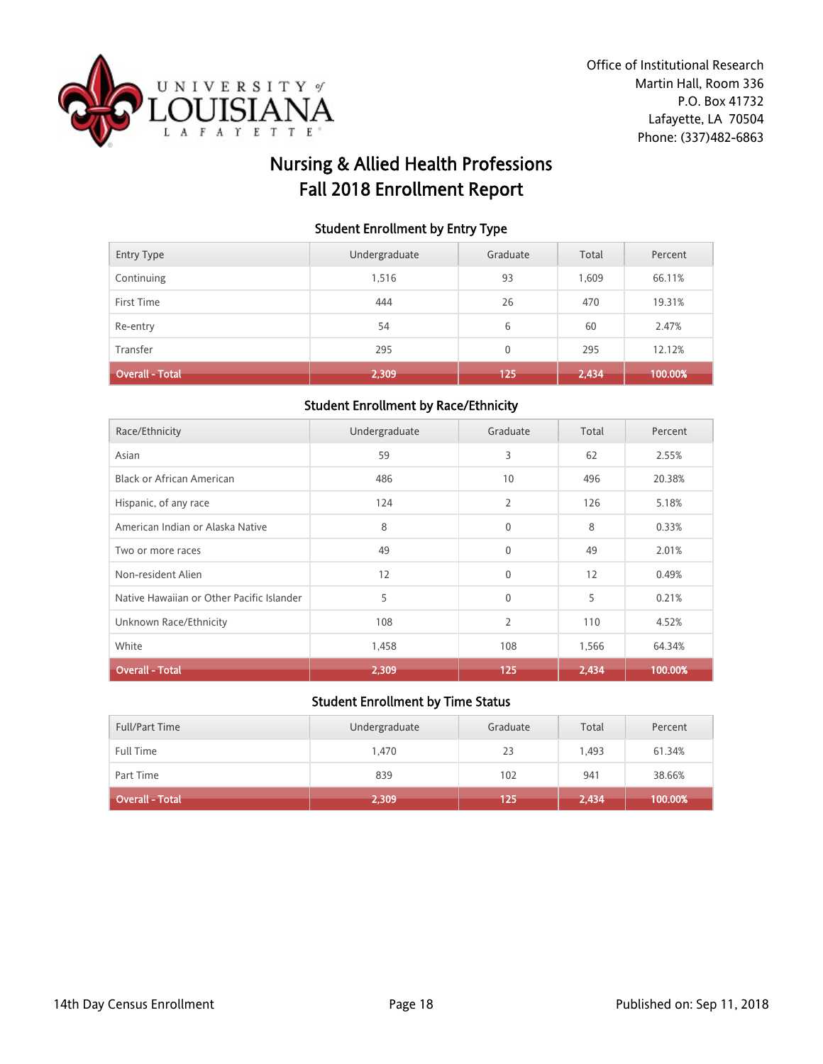

# Nursing & Allied Health Professions Fall 2018 Enrollment Report

#### Student Enrollment by Entry Type

| Transfer               | 295           | 0        | 295       | 12.12%          |
|------------------------|---------------|----------|-----------|-----------------|
| First Time<br>Re-entry | 444<br>54     | 26<br>6  | 470<br>60 | 19.31%<br>2.47% |
| Continuing             | 1,516         | 93       | 1,609     | 66.11%          |
| <b>Entry Type</b>      | Undergraduate | Graduate | Total     | Percent         |

### Student Enrollment by Race/Ethnicity

| Race/Ethnicity                            | Undergraduate | Graduate       | Total | Percent |
|-------------------------------------------|---------------|----------------|-------|---------|
| Asian                                     | 59            | 3              | 62    | 2.55%   |
| <b>Black or African American</b>          | 486           | 10             | 496   | 20.38%  |
| Hispanic, of any race                     | 124           | 2              | 126   | 5.18%   |
| American Indian or Alaska Native          | 8             | $\mathbf{0}$   | 8     | 0.33%   |
| Two or more races                         | 49            | $\mathbf{0}$   | 49    | 2.01%   |
| Non-resident Alien                        | 12            | $\Omega$       | 12    | 0.49%   |
| Native Hawaiian or Other Pacific Islander | 5             | $\mathbf{0}$   | 5     | 0.21%   |
| Unknown Race/Ethnicity                    | 108           | $\overline{2}$ | 110   | 4.52%   |
| White                                     | 1,458         | 108            | 1,566 | 64.34%  |
| <b>Overall - Total</b>                    | 2,309         | 125            | 2.434 | 100.00% |

| <b>Full/Part Time</b> | Undergraduate | Graduate | Total | Percent |
|-----------------------|---------------|----------|-------|---------|
| Full Time             | 1.470         | 23       | 1.493 | 61.34%  |
| Part Time             | 839           | 102      | 941   | 38.66%  |
| Overall - Total       | 2,309         | 125      | 2,434 | 100.00% |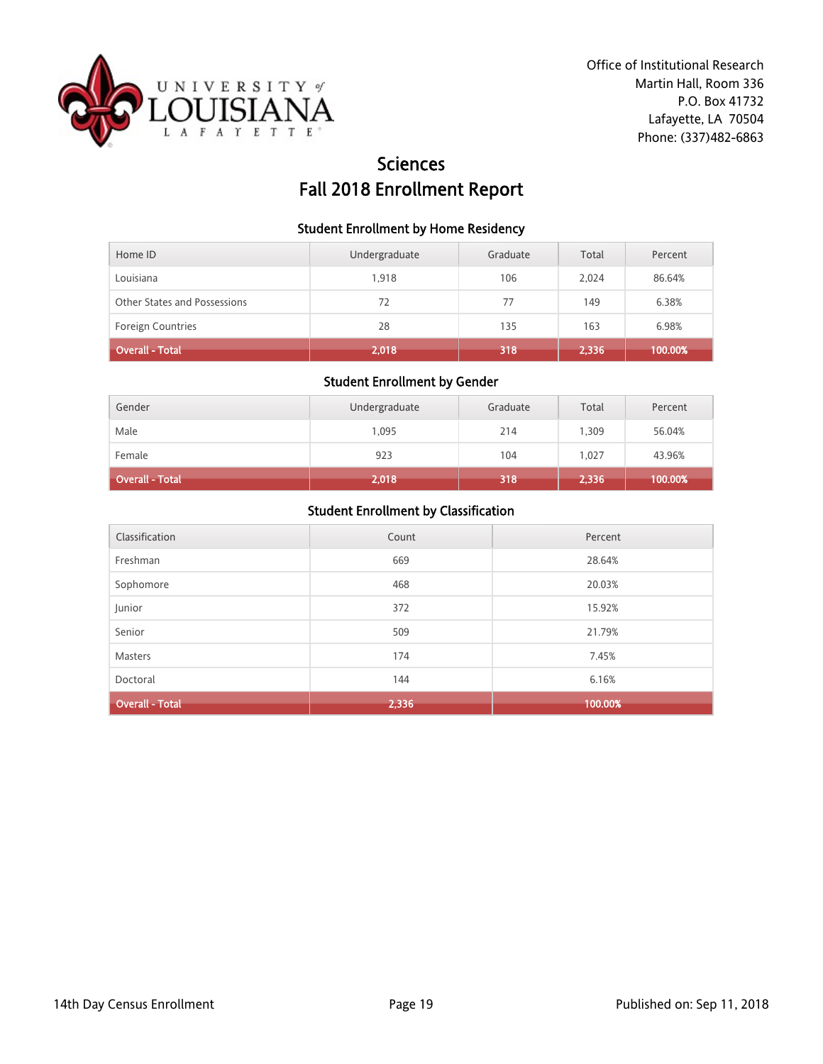

# **Sciences** Fall 2018 Enrollment Report

#### Student Enrollment by Home Residency

| Home ID                      | Undergraduate | Graduate | Total | Percent |
|------------------------------|---------------|----------|-------|---------|
| Louisiana                    | 1.918         | 106      | 2.024 | 86.64%  |
| Other States and Possessions | 72            | 77       | 149   | 6.38%   |
| <b>Foreign Countries</b>     | 28            | 135      | 163   | 6.98%   |
| <b>Overall - Total</b>       | 2,018         | 318      | 2,336 | 100.00% |

## Student Enrollment by Gender

| Gender                 | Undergraduate | Graduate | Total | Percent |
|------------------------|---------------|----------|-------|---------|
| Male                   | 1,095         | 214      | 1.309 | 56.04%  |
| Female                 | 923           | 104      | 1.027 | 43.96%  |
| <b>Overall - Total</b> | 2,018         | 318      | 2,336 | 100.00% |

| Classification         | Count | Percent |
|------------------------|-------|---------|
| Freshman               | 669   | 28.64%  |
| Sophomore              | 468   | 20.03%  |
| Junior                 | 372   | 15.92%  |
| Senior                 | 509   | 21.79%  |
| Masters                | 174   | 7.45%   |
| Doctoral               | 144   | 6.16%   |
| <b>Overall - Total</b> | 2,336 | 100.00% |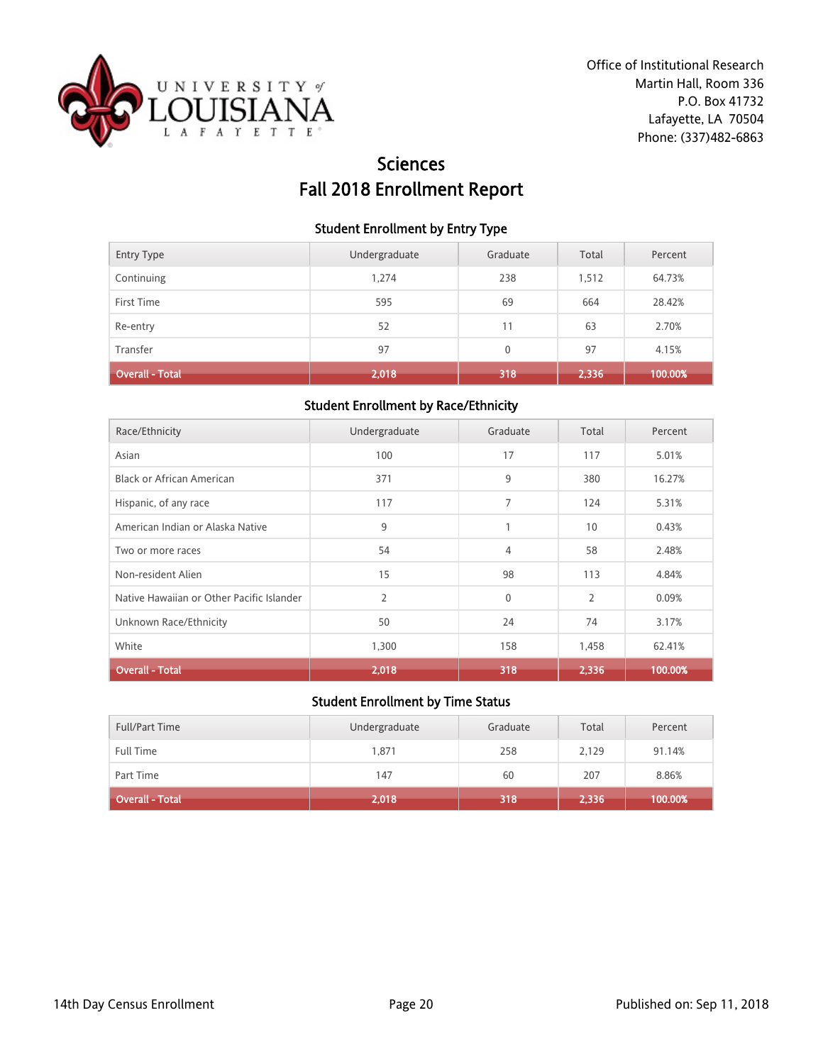

# **Sciences** Fall 2018 Enrollment Report

#### Student Enrollment by Entry Type

| <b>Entry Type</b>      | Undergraduate | Graduate     | Total | Percent |
|------------------------|---------------|--------------|-------|---------|
| Continuing             | 1,274         | 238          | 1,512 | 64.73%  |
| First Time             | 595           | 69           | 664   | 28.42%  |
| Re-entry               | 52            | 11           | 63    | 2.70%   |
| Transfer               | 97            | $\mathbf{0}$ | 97    | 4.15%   |
| <b>Overall - Total</b> | 2,018         | 318          | 2,336 | 100.00% |

### Student Enrollment by Race/Ethnicity

| Race/Ethnicity                            | Undergraduate  | Graduate     | Total          | Percent |
|-------------------------------------------|----------------|--------------|----------------|---------|
| Asian                                     | 100            | 17           | 117            | 5.01%   |
| Black or African American                 | 371            | 9            | 380            | 16.27%  |
| Hispanic, of any race                     | 117            | 7            | 124            | 5.31%   |
| American Indian or Alaska Native          | 9              | 1            | 10             | 0.43%   |
| Two or more races                         | 54             | 4            | 58             | 2.48%   |
| Non-resident Alien                        | 15             | 98           | 113            | 4.84%   |
| Native Hawaiian or Other Pacific Islander | $\overline{2}$ | $\mathbf{0}$ | $\overline{2}$ | 0.09%   |
| Unknown Race/Ethnicity                    | 50             | 24           | 74             | 3.17%   |
| White                                     | 1,300          | 158          | 1,458          | 62.41%  |
| <b>Overall - Total</b>                    | 2,018          | 318          | 2,336          | 100.00% |

| <b>Full/Part Time</b> | Undergraduate | Graduate | Total | Percent |
|-----------------------|---------------|----------|-------|---------|
| <b>Full Time</b>      | 1,871         | 258      | 2,129 | 91.14%  |
| Part Time             | 147           | 60       | 207   | 8.86%   |
| Overall - Total       | 2,018         | 318      | 2,336 | 100.00% |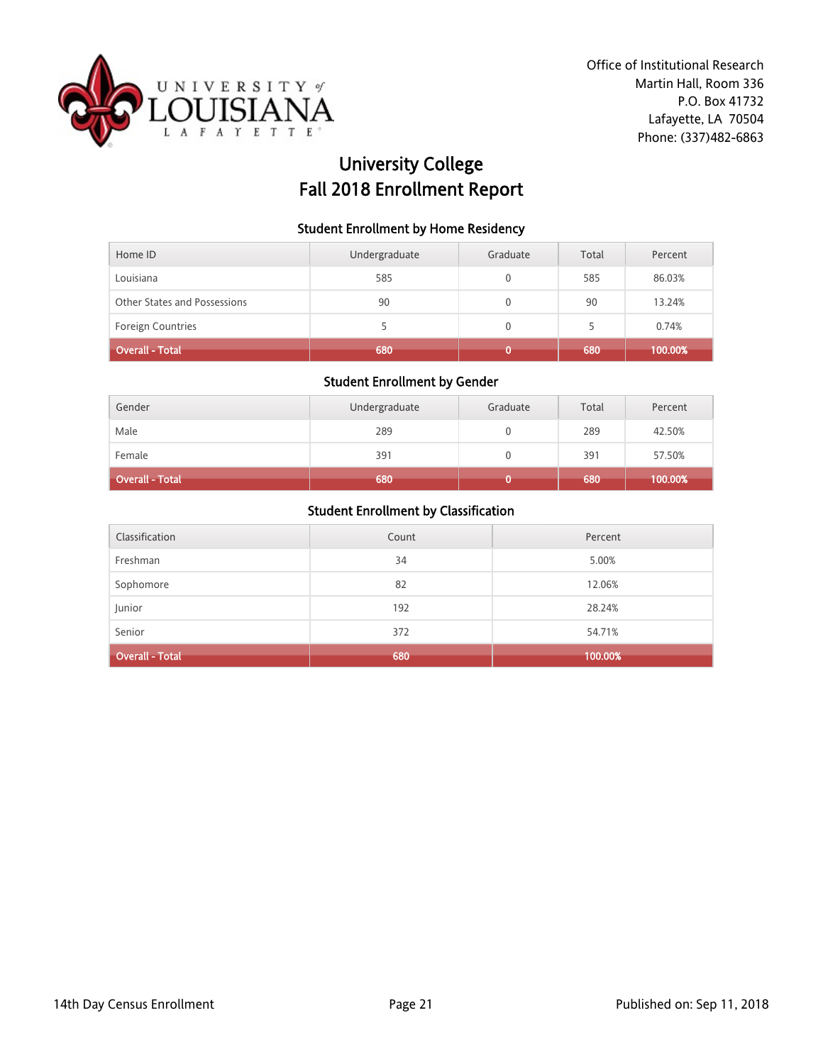

# University College Fall 2018 Enrollment Report

### Student Enrollment by Home Residency

| Home ID                      | Undergraduate | Graduate | Total | Percent |
|------------------------------|---------------|----------|-------|---------|
| Louisiana                    | 585           |          | 585   | 86.03%  |
| Other States and Possessions | 90            | 0        | 90    | 13.24%  |
| <b>Foreign Countries</b>     |               | 0        |       | 0.74%   |
| <b>Overall - Total</b>       | 680           |          | 680   | 100.00% |

#### Student Enrollment by Gender

| Gender          | Undergraduate | Graduate | Total | Percent |
|-----------------|---------------|----------|-------|---------|
| Male            | 289           |          | 289   | 42.50%  |
| Female          | 391           |          | 391   | 57.50%  |
| Overall - Total | 680           |          | 680   | 100.00% |

| Classification         | Count | Percent |
|------------------------|-------|---------|
| Freshman               | 34    | 5.00%   |
| Sophomore              | 82    | 12.06%  |
| Junior                 | 192   | 28.24%  |
| Senior                 | 372   | 54.71%  |
| <b>Overall - Total</b> | 680   | 100.00% |